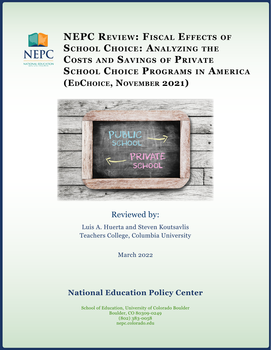

**NEPC Review: Fiscal Effects of SCHOOL CHOICE: ANALYZING THE Costs and Savings of Private School Choice Programs in America (EdChoice, November 2021)**



# Reviewed by:

Luis A. Huerta and Steven Koutsavlis Teachers College, Columbia University

March 2022

# **National Education Policy Center**

School of Education, University of Colorado Boulder Boulder, CO 80309-0249 (802) 383-0058 nepc.colorado.edu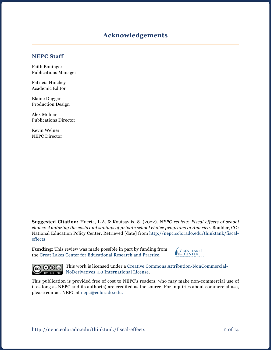### **Acknowledgements**

#### **NEPC Staff**

Faith Boninger Publications Manager

Patricia Hinchey Academic Editor

Elaine Duggan Production Design

Alex Molnar Publications Director

Kevin Welner NEPC Director

**Suggested Citation:** Huerta, L.A. & Koutsavlis, S. (2022). *NEPC review: Fiscal effects of school choice: Analyzing the costs and savings of private school choice programs in America.* Boulder, CO: National Education Policy Center. Retrieved [date] from [http://nepc.colorado.edu/thinktank/fiscal](http://nepc.colorado.edu/thinktank/fiscal-effects)[effects](http://nepc.colorado.edu/thinktank/fiscal-effects)

**Funding**: This review was made possible in part by funding from the [Great Lakes Center for Educational Research and Practice](http://www.greatlakescenter.org).





This work is licensed under a [Creative Commons Attribution-NonCommercial-](https://creativecommons.org/licenses/by-nc-nd/4.0/)BY NO NODerivatives 4.0 International License.

This publication is provided free of cost to NEPC's readers, who may make non-commercial use of it as long as NEPC and its author(s) are credited as the source. For inquiries about commercial use, please contact NEPC at [nepc@colorado.edu](mailto:nepc%40colorado.edu?subject=).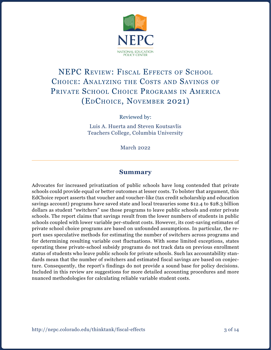

# NEPC REVIEW: FISCAL EFFECTS OF SCHOOL Choice: Analyzing the Costs and Savings of PRIVATE SCHOOL CHOICE PROGRAMS IN AMERICA (EdChoice, November 2021)

Reviewed by:

Luis A. Huerta and Steven Koutsavlis Teachers College, Columbia University

March 2022

#### **Summary**

Advocates for increased privatization of public schools have long contended that private schools could provide equal or better outcomes at lesser costs. To bolster that argument, this EdChoice report asserts that voucher and voucher-like (tax credit scholarship and education savings account) programs have saved state and local treasuries some \$12.4 to \$28.3 billion dollars as student "switchers" use those programs to leave public schools and enter private schools. The report claims that savings result from the lower numbers of students in public schools coupled with lower variable per-student costs. However, its cost-saving estimates of private school choice programs are based on unfounded assumptions. In particular, the report uses speculative methods for estimating the number of switchers across programs and for determining resulting variable cost fluctuations. With some limited exceptions, states operating these private-school subsidy programs do not track data on previous enrollment status of students who leave public schools for private schools. Such lax accountability standards mean that the number of switchers and estimated fiscal savings are based on conjecture. Consequently, the report's findings do not provide a sound base for policy decisions. Included in this review are suggestions for more detailed accounting procedures and more nuanced methodologies for calculating reliable variable student costs.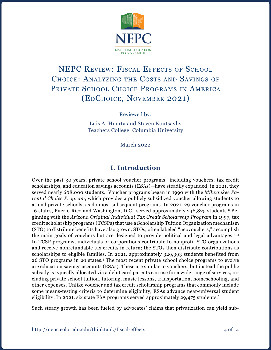

# NEPC REVIEW: FISCAL EFFECTS OF SCHOOL Choice: Analyzing the Costs and Savings of PRIVATE SCHOOL CHOICE PROGRAMS IN AMERICA (EdChoice, November 2021)

Reviewed by:

Luis A. Huerta and Steven Koutsavlis Teachers College, Columbia University

March 2022

## **I. Introduction**

Over the past 30 years, private school voucher programs—including vouchers, tax credit scholarships, and education savings accounts (ESAs)—have steadily expanded; in 2021, they served nearly 608,000 students.1 Voucher programs began in 1990 with the *Milwaukee Parental Choice Program*, which provides a publicly subsidized voucher allowing students to attend private schools, as do most subsequent programs. In 2021, 29 voucher programs in 16 states, Puerto Rico and Washington, D.C., served approximately 248,825 students.2 Beginning with the *Arizona Original Individual Tax Credit Scholarship Program* in 1997, tax credit scholarship programs (TCSPs) that use a Scholarship Tuition Organization mechanism (STO) to distribute benefits have also grown. STOs, often labeled "neovouchers," accomplish the main goals of vouchers but are designed to provide political and legal advantages.<sup>3, 4</sup> In TCSP programs, individuals or corporations contribute to nonprofit STO organizations and receive nonrefundable tax credits in return; the STOs then distribute contributions as scholarships to eligible families. In 2021, approximately 329,393 students benefited from 26 STO programs in 20 states.5 The most recent private school choice programs to evolve are education savings accounts (ESAs). These are similar to vouchers, but instead the public subsidy is typically allocated via a debit card parents can use for a wide range of services, including private school tuition, tutoring, music lessons, transportation, homeschooling, and other expenses. Unlike voucher and tax credit scholarship programs that commonly include some means-testing criteria to determine eligibility, ESAs advance near-universal student eligibility. In 2021, six state ESA programs served approximately 29,475 students.<sup>6</sup>

Such steady growth has been fueled by advocates' claims that privatization can yield sub-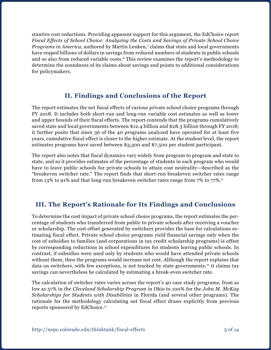stantive cost reductions. Providing apparent support for this argument, the EdChoice report *Fiscal Effects of School Choice: Analyzing the Costs and Savings of Private School Choice*  Programs in America, authored by Martin Leuken,<sup>7</sup> claims that state and local governments have reaped billions of dollars in savings from reduced numbers of students in public schools and so also from reduced variable costs.8 This review examines the report's methodology to determine the soundness of its claims about savings and points to additional considerations for policymakers.

# **II. Findings and Conclusions of the Report**

The report estimates the net fiscal effects of various private school choice programs through FY 2018. It includes both short-run and long-run variable cost estimates as well as lower and upper bounds of their fiscal effects. The report contends that the programs cumulatively saved state and local governments between \$12.4 billion and \$28.3 billion through FY 2018; it further posits that since 36 of the 40 programs analyzed have operated for at least five years, cumulative fiscal effect is closer to the higher estimate. At the student level, the report estimates programs have saved between \$3,300 and \$7,500 per student participant.

The report also notes that fiscal dynamics vary widely from program to program and state to state, and so it provides estimates of the percentage of students in each program who would have to leave public schools for private schools to attain cost neutrality—described as the "breakeven switcher rate." The report finds that short-run breakeven switcher rates range from 13% to 91% and that long-run breakeven switcher rates range from 7% to 77%.9

## **III. The Report's Rationale for Its Findings and Conclusions**

To determine the cost impact of private school choice programs, the report estimates the percentage of students who transferred from public to private schools after receiving a voucher or scholarship. The cost offset generated by switchers provides the base for calculations estimating fiscal effect. Private school choice programs yield financial savings only when the cost of subsidies to families (and corporations in tax credit scholarship programs) is offset by corresponding reductions in school expenditures for students leaving public schools. In contrast, if subsidies were used only by students who would have attended private schools without them, then the programs would increase net cost. Although the report explains that data on switchers, with few exceptions, is not tracked by state governments,<sup>10</sup> it claims tax savings can nevertheless be calculated by estimating a break-even switcher rate.

The calculation of switcher rates varies across the report's 40 case study programs, from as low as 57% in the *Cleveland Scholarship Program* in Ohio to 100% for the *John M. McKay Scholarships for Students with Disabilities* in Florida (and several other programs). The rationale for the methodology calculating net fiscal effect draws explicitly from previous reports sponsored by EdChoice.11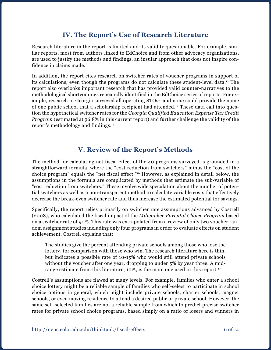## **IV. The Report's Use of Research Literature**

Research literature in the report is limited and its validity questionable. For example, similar reports, most from authors linked to EdChoice and from other advocacy organizations, are used to justify the methods and findings, an insular approach that does not inspire confidence in claims made.

In addition, the report cites research on switcher rates of voucher programs in support of its calculations, even though the programs do not calculate these student-level data.12 The report also overlooks important research that has provided valid counter-narratives to the methodological shortcomings repeatedly identified in the EdChoice series of reports. For example, research in Georgia surveyed all operating STOs<sup>13</sup> and none could provide the name of one public school that a scholarship recipient had attended.14 These data call into question the hypothetical switcher rates for the *Georgia Qualified Education Expense Tax Credit Program* (estimated at 96.8% in this current report) and further challenge the validity of the report's methodology and findings.15

## **V. Review of the Report's Methods**

The method for calculating net fiscal effect of the 40 programs surveyed is grounded in a straightforward formula, where the "cost reduction from switchers" minus the "cost of the choice program" equals the "net fiscal effect."16 However, as explained in detail below, the assumptions in the formula are complicated by methods that estimate the sub-variable of "cost reduction from switchers." These involve wide speculation about the number of potential switchers as well as a non-transparent method to calculate variable costs that effectively decrease the break-even switcher rate and thus increase the estimated potential for savings.

Specifically, the report relies primarily on switcher rate assumptions advanced by Costrell (2008), who calculated the fiscal impact of the *Milwaukee Parental Choice Program* based on a switcher rate of 90%. This rate was extrapolated from a review of only two voucher random assignment studies including only four programs in order to evaluate effects on student achievement. Costrell explains that:

The studies give the percent attending private schools among those who lose the lottery, for comparison with those who win. The research literature here is thin, but indicates a possible rate of 10-15% who would still attend private schools without the voucher after one year, dropping to under 5% by year three. A midrange estimate from this literature, 10%, is the main one used in this report.<sup>17</sup>

Costrell's assumptions are flawed at many levels. For example, families who enter a school choice lottery might be a reliable sample of families who self-select to participate in school choice options in general, which might include private schools, charter schools, magnet schools, or even moving residence to attend a desired public or private school. However, the same self-selected families are not a reliable sample from which to predict precise switcher rates for private school choice programs, based simply on a ratio of losers and winners in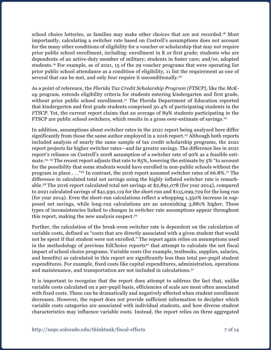school choice lotteries, as families may make other choices that are not recorded.<sup>18</sup> Most importantly, calculating a switcher rate based on Costrell's assumptions does not account for the many other conditions of eligibility for a voucher or scholarship that may not require prior public school enrollment, including: enrollment in K or first grade; students who are dependents of an active-duty member of military; students in foster care; and/or, adopted students.19 For example, as of 2021, 15 of the 29 voucher programs that were operating list prior public school attendance as a condition of eligibility, 11 list the requirement as one of several that can be met, and only four require it unconditionally.<sup>20</sup>

As a point of reference, the *Florida Tax Credit Scholarship Program (FTSCP)*, like the *McKay* program, extends eligibility criteria for students entering kindergarten and first grade, without prior public school enrollment.<sup>21</sup> The Florida Department of Education reported that kindergarten and first grade students comprised 30.4% of participating students in the *FTSCP*. Yet, the current report claims that an average of 89% students participating in the FTSCP are public school switchers, which results in a gross over-estimate of savings.<sup>22</sup>

In addition, assumptions about switcher rates in the 2021 report being analyzed here differ significantly from those the same author employed in a 2016 report.<sup>23</sup> Although both reports included analysis of nearly the same sample of tax credit scholarship programs, the 2021 report projects far higher switcher rates—and far greater savings. The difference lies in 2021 report's reliance on Costrell's 2008 assumption of a switcher rate of 90% as a feasible estimate.<sup>24, 25</sup> The recent report adjusts that rate to 85%, lowering the estimate by 5% "to account for the possibility that some students would have enrolled in non-public schools without the program in place . . ."26 In contrast, the 2016 report assumed switcher rates of 66.8%.27 The difference in calculated total net savings using the highly inflated switcher rate is remarkable.28 The 2016 report calculated total net savings at \$2,891,078 (for year 2014), compared to 2021 calculated savings of \$41,930,119 for the short run and \$115,099,729 for the long run (for year 2014). Even the short-run calculations reflect a whopping 1,350% increase in supposed net savings, while long-run calculations are an astonishing 3,881% higher. These types of inconsistencies linked to changes in switcher rate assumptions appear throughout this report, making the new analysis suspect. $29$ 

Further, the calculation of the break-even switcher rate is dependent on the calculation of variable costs, defined as "costs that are directly associated with a given student that would not be spent if that student were not enrolled." The report again relies on assumptions used in the methodology of previous EdChoice reports<sup>30</sup> that attempt to calculate the net fiscal impact of school choice programs. Variable costs (for example, textbooks, supplies, salaries, and benefits) as calculated in this report are significantly less than total per-pupil student expenditures. For example, fixed costs like capital expenditures, administration, operations and maintenance, and transportation are not included in calculations.31

It is important to recognize that the report does attempt to address the fact that, unlike variable costs calculated on a per-pupil basis, efficiencies of scale are most often associated with fixed costs. These can be dramatically and negatively affected when student enrollment decreases. However, the report does not provide sufficient information to decipher which variable costs categories are associated with individual students, and how diverse student characteristics may influence variable costs. Instead, the report relies on three aggregated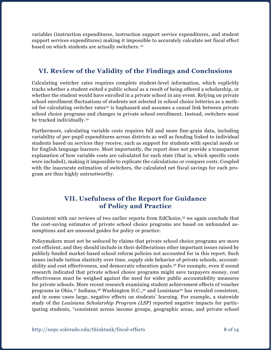variables (instruction expenditures, instruction support service expenditures, and student support services expenditures) making it impossible to accurately calculate net fiscal effect based on which students are actually switchers. 32

# **VI. Review of the Validity of the Findings and Conclusions**

Calculating switcher rates requires complete student-level information, which explicitly tracks whether a student exited a public school as a result of being offered a scholarship, or whether the student would have enrolled in a private school in any event. Relying on private school enrollment fluctuations of students not selected in school choice lotteries as a method for calculating switcher rates33 is haphazard and assumes a causal link between private school choice programs and changes in private school enrollment. Instead, switchers must be tracked individually.34

Furthermore, calculating variable costs requires full and more fine-grain data, including variability of per-pupil expenditures across districts as well as funding linked to individual students based on services they receive, such as support for students with special needs or for English language learners. Most importantly, the report does not provide a transparent explanation of how variable costs are calculated for each state (that is, which specific costs were included), making it impossible to replicate the calculations or compare costs. Coupled with the inaccurate estimation of switchers, the calculated net fiscal savings for each program are thus highly untrustworthy.

## **VII. Usefulness of the Report for Guidance of Policy and Practice**

Consistent with our reviews of two earlier reports from EdChoice,35 we again conclude that the cost-saving estimates of private school choice programs are based on unfounded assumptions and are unsound guides for policy or practice.

Policymakers must not be seduced by claims that private school choice programs are more cost efficient, and they should include in their deliberations other important issues raised by publicly funded market-based school reform policies not accounted for in this report. Such issues include tuition elasticity over time, supply side behavior of private schools, accountability and cost effectiveness, and democratic education goals.36 For example, even if sound research indicated that private school choice programs might save taxpayers money, cost effectiveness must be weighed against the need for wider public accountability measures for private schools. More recent research examining student achievement effects of voucher programs in Ohio,<sup>37</sup> Indiana,<sup>38</sup> Washington D.C.,<sup>39</sup> and Louisiana<sup>40</sup> has revealed consistent, and in some cases large, negative effects on students' learning. For example**,** a statewide study of the *Louisiana Scholarship Program (LSP)* reported negative impacts for participating students, "consistent across income groups, geographic areas, and private school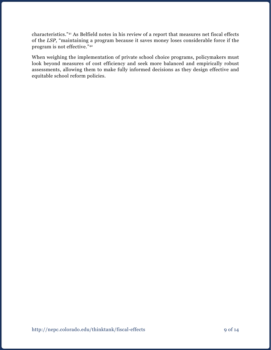characteristics."41 As Belfield notes in his review of a report that measures net fiscal effects of the *LSP,* "maintaining a program because it saves money loses considerable force if the program is not effective."42

When weighing the implementation of private school choice programs, policymakers must look beyond measures of cost efficiency and seek more balanced and empirically robust assessments, allowing them to make fully informed decisions as they design effective and equitable school reform policies.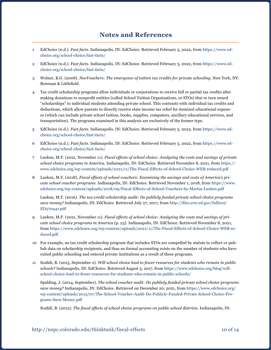#### **Notes and References**

- 1 EdChoice (n.d.). *Fast facts*. Indianapolis, IN: EdChoice. Retrieved February 5, 2022, from [https://www.ed](https://www.edchoice.org/school-choice/fast-facts/)[choice.org/school-choice/fast-facts/](https://www.edchoice.org/school-choice/fast-facts/)
- 2 EdChoice (n.d.). *Fast facts*. Indianapolis, IN: EdChoice. Retrieved February 5, 2022, from [https://www.ed](https://www.edchoice.org/school-choice/fast-facts/)[choice.org/school-choice/fast-facts/](https://www.edchoice.org/school-choice/fast-facts/)
- 3 Welner, K.G. (2008). *NeoVouchers: The emergence of tuition tax credits for private schooling*. New York, NY: Rowman & Littlefield.
- 4 Tax credit scholarship programs allow individuals or corporations to receive full or partial tax credits after making donations to nonprofit entities (called School Tuition Organizations, or STOs) that in turn award "scholarships" to individual students attending private school. This contrasts with individual tax credits and deductions, which allow parents to directly receive state income tax relief for itemized educational expenses (which can include private school tuition, books, supplies, computers, ancillary educational services, and transportation). The programs examined in this analysis are exclusively of the former type.
- 5 EdChoice (n.d.). *Fast facts*. Indianapolis, IN: EdChoice. Retrieved February 5, 2022, from [https://www.ed](https://www.edchoice.org/school-choice/fast-facts/)[choice.org/school-choice/fast-facts/](https://www.edchoice.org/school-choice/fast-facts/)
- 6 EdChoice (n.d.). *Fast facts*. Indianapolis, IN: EdChoice. Retrieved February 5, 2022, from [https://www.ed](https://www.edchoice.org/school-choice/fast-facts/)[choice.org/school-choice/fast-facts/](https://www.edchoice.org/school-choice/fast-facts/)
- 7 Lueken, M.F. (2021, November 11). *Fiscal effects of school choice: Analyzing the costs and savings of private school choice programs in America*. Indianapolis, IN: EdChoice. Retrieved November 8, 2021, from [https://](https://www.edchoice.org/wp-content/uploads/2021/11/The-Fiscal-Effects-of-School-Choice-WEB-reduced.pdf) [www.edchoice.org/wp-content/uploads/2021/11/The-Fiscal-Effects-of-School-Choice-WEB-reduced.pdf](https://www.edchoice.org/wp-content/uploads/2021/11/The-Fiscal-Effects-of-School-Choice-WEB-reduced.pdf)
- 8 Lueken, M.F. (2018). *Fiscal effects of school vouchers: Examining the savings and costs of America's private school voucher programs*. Indianapolis, IN: EdChoice. Retrieved November 1, 2018, from [https://www.](https://www.edchoice.org/wp-content/uploads/2018/09/Fiscal-Effects-of-School-Vouchers-by-Martin-Lueken.pdf) [edchoice.org/wp-content/uploads/2018/09/Fiscal-Effects-of-School-Vouchers-by-Martin-Lueken.pdf](https://www.edchoice.org/wp-content/uploads/2018/09/Fiscal-Effects-of-School-Vouchers-by-Martin-Lueken.pdf)

Lueken, M.F. (2016). *The tax-credit scholarship audit: Do publicly funded private school choice programs save money?* Indianapolis, IN: EdChoice. Retrieved July 27, 2017, from [http://files.eric.ed.gov/fulltext/](http://files.eric.ed.gov/fulltext/ED570441.pdf) [ED570441.pdf](http://files.eric.ed.gov/fulltext/ED570441.pdf)

- 9 Lueken, M.F. (2021, November 11). *Fiscal effects of school choice: Analyzing the costs and savings of private school choice programs in America* (p. 23). Indianapolis, IN: EdChoice. Retrieved November 8, 2021, from [https://www.edchoice.org/wp-content/uploads/2021/11/The-Fiscal-Effects-of-School-Choice-WEB-re](https://www.edchoice.org/wp-content/uploads/2021/11/The-Fiscal-Effects-of-School-Choice-WEB-reduced.pdf)[duced.pdf](https://www.edchoice.org/wp-content/uploads/2021/11/The-Fiscal-Effects-of-School-Choice-WEB-reduced.pdf)
- 10 For example, no tax credit scholarship program that includes STOs are compelled by statute to collect or publish data on scholarship recipients, and thus no formal accounting exists on the number of students who have exited public schooling and entered private institutions as a result of these programs.
- 11 Scafidi, B. (2015, September 2). *Will school choice lead to fewer resources for students who remain in public schools?* Indianapolis, IN: EdChoice. Retrieved August 5, 2017, from [https://www.edchoice.org/blog/will](https://www.edchoice.org/blog/will-school-choice-lead-to-fewer-resources-for-students-who-remain-in-public-schools/)[school-choice-lead-to-fewer-resources-for-students-who-remain-in-public-schools/](https://www.edchoice.org/blog/will-school-choice-lead-to-fewer-resources-for-students-who-remain-in-public-schools/)

Spalding, J. (2014, September). *The school voucher audit: Do publicly funded private school choice programs save money?* Indianapolis, IN: EdChoice. Retrieved on December 20, 2021, from [https://www.edchoice.org/](https://www.edchoice.org/wp-content/uploads/2015/07/The-School-Voucher-Audit-Do-Publicly-Funded-Private-School-Choice-Programs-Save-Money.pdf) [wp-content/uploads/2015/07/The-School-Voucher-Audit-Do-Publicly-Funded-Private-School-Choice-Pro](https://www.edchoice.org/wp-content/uploads/2015/07/The-School-Voucher-Audit-Do-Publicly-Funded-Private-School-Choice-Programs-Save-Money.pdf)[grams-Save-Money.pdf](https://www.edchoice.org/wp-content/uploads/2015/07/The-School-Voucher-Audit-Do-Publicly-Funded-Private-School-Choice-Programs-Save-Money.pdf) 

Scafidi, B. (2012). *The fiscal effects of school choice programs on public school districts*. Indianapolis, IN: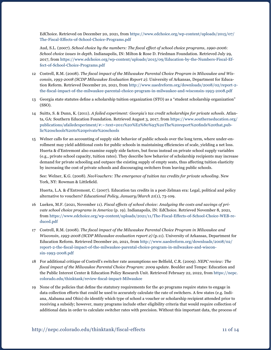EdChoice. Retrieved on December 20, 2021, from [https://www.edchoice.org/wp-content/uploads/2015/07/](https://www.edchoice.org/wp-content/uploads/2015/07/The-Fiscal-Effects-of-School-Choice-Programs.pdf) [The-Fiscal-Effects-of-School-Choice-Programs.pdf](https://www.edchoice.org/wp-content/uploads/2015/07/The-Fiscal-Effects-of-School-Choice-Programs.pdf)

Aud, S.L. (2007). *School choice by the numbers: The fiscal effect of school choice programs, 1990-2006*: *School choice issues in depth*. Indianapolis, IN: Milton & Rose D. Friedman Foundation. Retrieved July 29, 2017, from [https://www.edchoice.org/wp-content/uploads/2015/09/Education-by-the-Numbers-Fiscal-Ef](https://www.edchoice.org/wp-content/uploads/2015/09/Education-by-the-Numbers-Fiscal-Effect-of-School-Choice-Programs.pdf )[fect-of-School-Choice-Programs.pdf](https://www.edchoice.org/wp-content/uploads/2015/09/Education-by-the-Numbers-Fiscal-Effect-of-School-Choice-Programs.pdf ) 

- 12 Costrell, R.M. (2008). *The fiscal impact of the Milwaukee Parental Choice Program in Milwaukee and Wisconsin, 1993-2008 (SCDP Milwaukee Evaluation Report 2)*. University of Arkansas, Department for Education Reform. Retrieved December 20, 2021, from [http://www.uaedreform.org/downloads/2008/02/report-2](http://www.uaedreform.org/downloads/2008/02/report-2-the-fiscal-impact-of-the-milwaukee-parental-choice-program-in-milwaukee-and-wisconsin-1993-2008.pdf) [the-fiscal-impact-of-the-milwaukee-parental-choice-program-in-milwaukee-and-wisconsin-1993-2008.pdf](http://www.uaedreform.org/downloads/2008/02/report-2-the-fiscal-impact-of-the-milwaukee-parental-choice-program-in-milwaukee-and-wisconsin-1993-2008.pdf)
- 13 Georgia state statutes define a scholarship tuition organization (STO) as a "student scholarship organization" (SSO).
- 14 Suitts, S. & Dunn, K. (2011). *A failed experiment: Georgia's tax credit scholarships for private schools*. Atlanta, GA: Southern Education Foundation. Retrieved August 3, 2017, from [https://www.southerneducation.org/](https://www.southerneducation.org/publications/afailedexperiment/#:~:text=2011%20%E2%80%93%20The%20report%20finds%20that,public%20schools%20to%20private%20schools) [publications/afailedexperiment/#:~:text=2011%20%E2%80%93%20The%20report%20finds%20that,pub](https://www.southerneducation.org/publications/afailedexperiment/#:~:text=2011%20%E2%80%93%20The%20report%20finds%20that,public%20schools%20to%20private%20schools)[lic%20schools%20to%20private%20schools](https://www.southerneducation.org/publications/afailedexperiment/#:~:text=2011%20%E2%80%93%20The%20report%20finds%20that,public%20schools%20to%20private%20schools)
- 15 Welner calls for an accounting of supply side behavior of public schools over the long term, where under-enrollment may yield additional costs for public schools in maintaining efficiencies of scale, yielding a net loss. Huerta & d'Entremont also examine supply side factors, but focus instead on private school supply variables (e.g., private school capacity, tuition rates). They describe how behavior of scholarship recipients may increase demand for private schooling and outpace the existing supply of empty seats, thus affecting tuition elasticity by increasing the cost of private schools and discouraging switchers from leaving public schools.

See: Welner, K.G. (2008). *NeoVouchers: The emergence of tuition tax credits for private schooling*. New York, NY: Rowman & Littlefield.

Huerta, L.A. & d'Entremont, C. (2007). Education tax credits in a post-Zelman era: Legal, political and policy alternative to vouchers? *Educational Policy, January/March 21*(1), 73-109.

- 16 Lueken, M.F. (2021, November 11). *Fiscal effects of school choice: Analyzing the costs and savings of private school choice programs in America* (p. 19). Indianapolis, IN: EdChoice. Retrieved November 8, 2021, from [https://www.edchoice.org/wp-content/uploads/2021/11/The-Fiscal-Effects-of-School-Choice-WEB-re](https://www.edchoice.org/wp-content/uploads/2021/11/The-Fiscal-Effects-of-School-Choice-WEB-reduced.pdf)[duced.pdf](https://www.edchoice.org/wp-content/uploads/2021/11/The-Fiscal-Effects-of-School-Choice-WEB-reduced.pdf)
- 17 Costrell, R.M. (2008). *The fiscal impact of the Milwaukee Parental Choice Program in Milwaukee and Wisconsin, 1993-2008 (SCDP Milwaukee evaluation report 2)* (p.11). University of Arkansas, Department for Education Reform. Retrieved December 20, 2021, from [http://www.uaedreform.org/downloads/2008/02/](http://www.uaedreform.org/downloads/2008/02/report-2-the-fiscal-impact-of-the-milwaukee-parental-choice-program-in-milwaukee-and-wisconsin-1993-2008.pdf) [report-2-the-fiscal-impact-of-the-milwaukee-parental-choice-program-in-milwaukee-and-wiscon](http://www.uaedreform.org/downloads/2008/02/report-2-the-fiscal-impact-of-the-milwaukee-parental-choice-program-in-milwaukee-and-wisconsin-1993-2008.pdf)[sin-1993-2008.pdf](http://www.uaedreform.org/downloads/2008/02/report-2-the-fiscal-impact-of-the-milwaukee-parental-choice-program-in-milwaukee-and-wisconsin-1993-2008.pdf)
- 18 For additional critique of Costrell's switcher rate assumptions see Belfield, C.R. (2009). *NEPC review: The fiscal impact of the Milwaukee Parental Choice Program: 2009 update*. Boulder and Tempe: Education and the Public Interest Center & Education Policy Research Unit. Retrieved February 22, 2022, from [https://nepc.](https://nepc.colorado.edu/thinktank/review-fiscal-impact-Milwaukee) [colorado.edu/thinktank/review-fiscal-impact-Milwaukee](https://nepc.colorado.edu/thinktank/review-fiscal-impact-Milwaukee)
- 19 None of the policies that define the statutory requirements for the 40 programs require states to engage in data collection efforts that could be used to accurately calculate the rate of switchers. A few states (e.g. Indiana, Alabama and Ohio) do identify which type of school a voucher or scholarship recipient attended prior to receiving a subsidy; however, many programs include other eligibility criteria that would require collection of additional data in order to calculate switcher rates with precision. Without this important data, the process of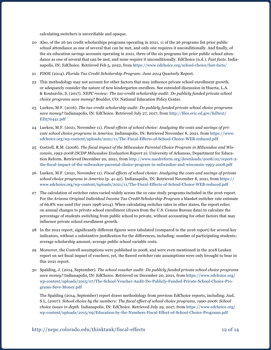calculating switchers is unverifiable and opaque.

- 20 Also, of the 26 tax credit scholarships programs operating in 2021, 11 of the 26 programs list prior public school attendance as one of several that can be met, and only one requires it unconditionally. And finally, of the six education savings accounts operating in 2021, three of the six programs list prior public school attendance as one of several that can be met, and none require it unconditionally. EdChoice (n.d.). *Fast facts*. Indianapolis, IN: EdChoice. Retrieved Feb 5, 2022, from<https://www.edchoice.org/school-choice/fast-facts/>
- 21 FDOE (2014). *Florida Tax Credit Scholarship Program: June 2014* Quarterly Report.
- 22 This methodology may not account for other factors that may influence private school enrollment growth, or adequately consider the nature of new kindergarten enrollees. See extended discussion in Huerta, L.A. & Koutsavlis, S. (2017). *NEPC review: The tax-credit scholarship audit: Do publicly funded private school choice programs save money?* Boulder, CO: National Education Policy Center.
- 23 Lueken, M.F. (2016). *The tax-credit scholarship audit: Do publicly funded private school choice programs save money?* Indianapolis, IN: EdChoice. Retrieved July 27, 2017, from [http://files.eric.ed.gov/fulltext/](http://files.eric.ed.gov/fulltext/ED570441.pdf) [ED570441.pdf](http://files.eric.ed.gov/fulltext/ED570441.pdf)
- 24 Lueken, M.F. (2021, November 11). *Fiscal effects of school choice: Analyzing the costs and savings of private school choice programs in America*. Indianapolis, IN: Retrieved November 8, 2021, from [https://www.](https://www.edchoice.org/wp-content/uploads/2021/11/The-Fiscal-Effects-of-School-Choice-WEB-reduced.pdf) [edchoice.org/wp-content/uploads/2021/11/The-Fiscal-Effects-of-School-Choice-WEB-reduced.pdf](https://www.edchoice.org/wp-content/uploads/2021/11/The-Fiscal-Effects-of-School-Choice-WEB-reduced.pdf)
- 25 Costrell, R.M. (2008). *The fiscal impact of the Milwaukee Parental Choice Program in Milwaukee and Wisconsin, 1993-2008 (SCDP Milwaukee Evaluation Report 2)*. University of Arkansas, Department for Education Reform. Retrieved December 20, 2021, from [http://www.uaedreform.org/downloads/2008/02/report-2](http://www.uaedreform.org/downloads/2008/02/report-2-the-fiscal-impact-of-the-milwaukee-parental-choice-program-in-milwaukee-and-wisconsin-1993-2008.pdf) [the-fiscal-impact-of-the-milwaukee-parental-choice-program-in-milwaukee-and-wisconsin-1993-2008.pdf](http://www.uaedreform.org/downloads/2008/02/report-2-the-fiscal-impact-of-the-milwaukee-parental-choice-program-in-milwaukee-and-wisconsin-1993-2008.pdf)
- 26 Lueken, M.F. (2021, November 11). *Fiscal effects of school choice: Analyzing the costs and savings of private school choice programs in America* (p. 41-42). Indianapolis, IN: Retrieved November 8, 2021, from [https://](https://www.edchoice.org/wp-content/uploads/2021/11/The-Fiscal-Effects-of-School-Choice-WEB-reduced.pdf) [www.edchoice.org/wp-content/uploads/2021/11/The-Fiscal-Effects-of-School-Choice-WEB-reduced.pdf](https://www.edchoice.org/wp-content/uploads/2021/11/The-Fiscal-Effects-of-School-Choice-WEB-reduced.pdf)
- 27 The calculation of switcher rates varied widely across the 10 case study programs included in the 2016 report. For the *Arizona Original Individual Income Tax Credit Scholarship Program* a blanket switcher rate estimate of 66.8% was used (for years 1998-2014). When calculating switcher rates in other states, the report relies on annual changes to private school enrollment (drawn from the U.S. Census Bureau data) to calculate the percentage of students switching from public school to private, without accounting for other factors that may influence private school enrollment growth.
- 28 In the 2021 report, significantly different figures were tabulated (compared to the 2016 report) for several key indicators, without a substantive justification for the differences, including: number of participating students; average scholarship amount; average public school variable costs.
- 29 Moreover, the Costrell assumptions were published in 2008, and were even mentioned in the 2018 Leuken report on net fiscal impact of vouchers, yet, the flawed switcher rate assumptions were only brought to bear in this 2021 report.
- 30 Spalding, J. (2014, September). *The school voucher audit: Do publicly funded private school choice programs save money?* Indianapolis, IN: EdChoice. Retrieved on December 20, 2021, from [https://www.edchoice.org/](https://www.edchoice.org/wp-content/uploads/2015/07/The-School-Voucher-Audit-Do-Publicly-Funded-Private-School-Choice-Programs-Save-Money.pdf) [wp-content/uploads/2015/07/The-School-Voucher-Audit-Do-Publicly-Funded-Private-School-Choice-Pro](https://www.edchoice.org/wp-content/uploads/2015/07/The-School-Voucher-Audit-Do-Publicly-Funded-Private-School-Choice-Programs-Save-Money.pdf)[grams-Save-Money.pdf](https://www.edchoice.org/wp-content/uploads/2015/07/The-School-Voucher-Audit-Do-Publicly-Funded-Private-School-Choice-Programs-Save-Money.pdf)

The Spalding (2014, September) report draws methodology from previous EdChoice reports, including: Aud, S.L. (2007). *School choice by the numbers: The fiscal effect of school choice programs, 1990-2006*: *School choice issues in depth*. Indianapolis, IN: EdChoice. Retrieved July 29, 2017, from [https://www.edchoice.org/](https://www.edchoice.org/wp-content/uploads/2015/09/Education-by-the-Numbers-Fiscal-Effect-of-School-Choice-Programs.pdf) [wp-content/uploads/2015/09/Education-by-the-Numbers-Fiscal-Effect-of-School-Choice-Programs.pdf](https://www.edchoice.org/wp-content/uploads/2015/09/Education-by-the-Numbers-Fiscal-Effect-of-School-Choice-Programs.pdf)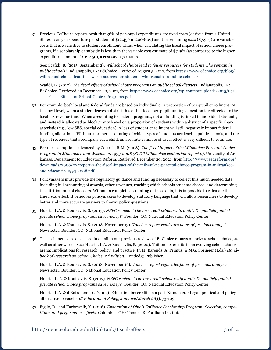31 Previous EdChoice reports posit that 36% of per-pupil expenditures are fixed costs (derived from a United States average expenditure per student of \$12,450 in 2008-09) and the remaining 64% (\$7,967) are variable costs that are sensitive to student enrollment. Thus, when calculating the fiscal impact of school choice programs, if a scholarship or subsidy is less than the variable cost estimate of \$7,967 (as compared to the higher expenditure amount of \$12,450), a cost savings results.

See: Scafidi, B. (2015, September 2). *Will school choice lead to fewer resources for students who remain in public schools?* Indianapolis, IN: EdChoice. Retrieved August 5, 2017, from [https://www.edchoice.org/blog/](https://www.edchoice.org/blog/will-school-choice-lead-to-fewer-resources-for-students-who-remain-in-public-schools/) [will-school-choice-lead-to-fewer-resources-for-students-who-remain-in-public-schools/](https://www.edchoice.org/blog/will-school-choice-lead-to-fewer-resources-for-students-who-remain-in-public-schools/)

Scafidi, B. (2012). *The fiscal effects of school choice programs on public school districts*. Indianapolis, IN: EdChoice. Retrieved on December 20, 2021, from [https://www.edchoice.org/wp-content/uploads/2015/07/](https://www.edchoice.org/wp-content/uploads/2015/07/The-Fiscal-Effects-of-School-Choice-Programs.pdf) [The-Fiscal-Effects-of-School-Choice-Programs.pdf](https://www.edchoice.org/wp-content/uploads/2015/07/The-Fiscal-Effects-of-School-Choice-Programs.pdf)

- 32 For example, both local and federal funds are based on individual or a proportion of per-pupil enrollment. At the local level, when a student leaves a district, his or her local per-pupil funding allocation is redirected to the local tax revenue fund. When accounting for federal programs, not all funding is linked to individual students, and instead is allocated as block grants based on a proportion of students within a district of a specific characteristic (e.g., low SES, special education). A loss of student enrollment will still negatively impact federal funding allocations. Without a proper accounting of which types of students are leaving public schools, and the type of revenues that accompany each child, an accurate estimate of fiscal effect is very difficult to estimate.
- 33 Per the assumptions advanced by Costrell, R.M. (2008). *The fiscal impact of the Milwaukee Parental Choice Program in Milwaukee and Wisconsin, 1993-2008 (SCDP Milwaukee evaluation report 2)*. University of Arkansas, Department for Education Reform. Retrieved December 20, 2021, from [http://www.uaedreform.org/](http://www.uaedreform.org/downloads/2008/02/report-2-the-fiscal-impact-of-the-milwaukee-parental-choice-program-in-milwaukee-and-wisconsin-1993-2008.pdf) [downloads/2008/02/report-2-the-fiscal-impact-of-the-milwaukee-parental-choice-program-in-milwaukee](http://www.uaedreform.org/downloads/2008/02/report-2-the-fiscal-impact-of-the-milwaukee-parental-choice-program-in-milwaukee-and-wisconsin-1993-2008.pdf)[and-wisconsin-1993-2008.pdf](http://www.uaedreform.org/downloads/2008/02/report-2-the-fiscal-impact-of-the-milwaukee-parental-choice-program-in-milwaukee-and-wisconsin-1993-2008.pdf)
- 34 Policymakers must provide the regulatory guidance and funding necessary to collect this much needed data, including full accounting of awards, other revenues, tracking which schools students choose, and determining the attrition rate of choosers. Without a complete accounting of these data, it is impossible to calculate the true fiscal effect. It behooves policymakers to develop statutory language that will allow researchers to develop better and more accurate answers to thorny policy questions.
- 35 Huerta, L.A. & Koutsavlis, S. (2017). *NEPC review: "The tax-credit scholarship audit: Do publicly funded private school choice programs save money?"* Boulder, CO: National Education Policy Center.

Huerta, L.A. & Koutsavlis, S. (2018, November 13). *Voucher report replicates flaws of previous analysis*. Newsletter. Boulder, CO: National Education Policy Center.

36 These elements are discussed in detail in our previous reviews of EdChoice reports on private school choice, as well as other works. See: Huerta, L.A. & Koutsavlis, S. (2020). Tuition tax credits in an evolving school choice arena: Implications for research, policy, and practice. In M. Barends, A. Primus, & M.G. Springer (Eds.) *Handbook of Research on School Choice, 2nd Edition.* Routledge Publisher.

Huerta, L.A. & Koutsavlis, S. (2018, November 13). *Voucher report replicates flaws of previous analysis*. Newsletter. Boulder, CO: National Education Policy Center.

Huerta, L. A. & Koutsavlis, S. (2017). *NEPC review: "The tax-credit scholarship audit: Do publicly funded private school choice programs save money?"* Boulder, CO: National Education Policy Center.

Huerta, L.A. & d'Entremont, C. (2007). Education tax credits in a post-Zelman era: Legal, political and policy alternative to vouchers? *Educational Policy, January/March 21*(1), 73-109.

37 Figlio, D., and Karbownik, K. (2016). *Evaluation of Ohio's EdChoice Scholarship Program: Selection, competition, and performance effects*. Columbus, OH: Thomas B. Fordham Institute.